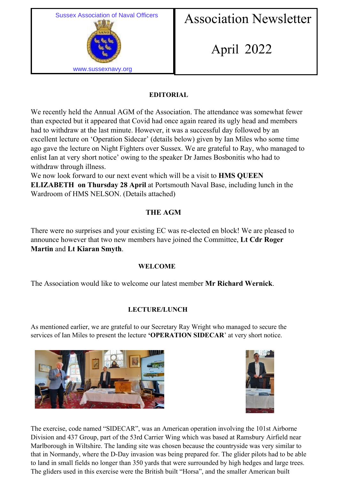

## Association Newsletter

# April 2022

## **EDITORIAL**

We recently held the Annual AGM of the Association. The attendance was somewhat fewer than expected but it appeared that Covid had once again reared its ugly head and members had to withdraw at the last minute. However, it was a successful day followed by an excellent lecture on 'Operation Sidecar' (details below) given by Ian Miles who some time ago gave the lecture on Night Fighters over Sussex. We are grateful to Ray, who managed to enlist Ian at very short notice' owing to the speaker Dr James Bosbonitis who had to withdraw through illness.

We now look forward to our next event which will be a visit to **HMS QUEEN ELIZABETH on Thursday 28 April at Portsmouth Naval Base, including lunch in the** Wardroom of HMS NELSON. (Details attached)

## **THE AGM**

There were no surprises and your existing EC was re-elected en block! We are pleased to announce however that two new members have joined the Committee, **Lt Cdr Roger Martin** and **Lt Kiaran Smyth**.

## **WELCOME**

The Association would like to welcome our latest member **Mr Richard Wernick**.

## **LECTURE/LUNCH**

As mentioned earlier, we are grateful to our Secretary Ray Wright who managed to secure the services of Ian Miles to present the lecture **'OPERATION SIDECAR**' at very short notice.





The exercise, code named "SIDECAR", was an American operation involving the 101st Airborne Division and 437 Group, part of the 53rd Carrier Wing which was based at Ramsbury Airfield near Marlborough in Wiltshire. The landing site was chosen because the countryside was very similar to that in Normandy, where the D-Day invasion was being prepared for. The glider pilots had to be able to land in small fields no longer than 350 yards that were surrounded by high hedges and large trees. The gliders used in this exercise were the British built "Horsa", and the smaller American built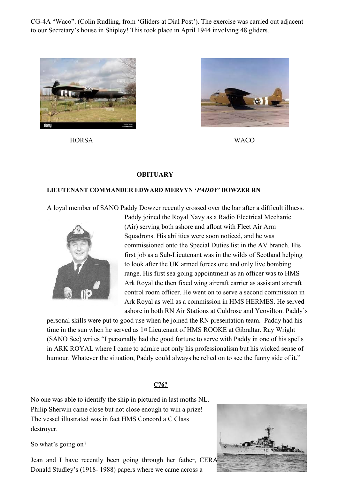CG-4A "Waco". (Colin Rudling, from 'Gliders at Dial Post'). The exercise was carried out adjacent to our Secretary's house in Shipley! This took place in April 1944 involving 48 gliders.



HORSA WACO



#### **OBITUARY**

#### **LIEUTENANT COMMANDER EDWARD MERVYN '***PADDY'* **DOWZER RN**

A loyal member of SANO Paddy Dowzer recently crossed over the bar after a difficult illness.



Paddy joined the Royal Navy as a Radio Electrical Mechanic (Air) serving both ashore and afloat with Fleet Air Arm Squadrons. His abilities were soon noticed, and he was commissioned onto the Special Duties list in the AV branch. His first job as a Sub-Lieutenant was in the wilds of Scotland helping to look after the UK armed forces one and only live bombing range. His first sea going appointment as an officer was to HMS Ark Royal the then fixed wing aircraft carrier as assistant aircraft control room officer. He went on to serve a second commission in Ark Royal as well as a commission in HMS HERMES. He served ashore in both RN Air Stations at Culdrose and Yeovilton. Paddy's

personal skills were put to good use when he joined the RN presentation team. Paddy had his time in the sun when he served as 1st Lieutenant of HMS ROOKE at Gibraltar. Ray Wright (SANO Sec) writes "I personally had the good fortune to serve with Paddy in one of his spells in ARK ROYAL where I came to admire not only his professionalism but his wicked sense of humour. Whatever the situation, Paddy could always be relied on to see the funny side of it."

#### **C76?**

No one was able to identify the ship in pictured in last moths NL. Philip Sherwin came close but not close enough to win a prize! The vessel illustrated was in fact HMS Concord a C Class destroyer.

So what's going on?

Jean and I have recently been going through her father, CERA Donald Studley's (1918- 1988) papers where we came across a